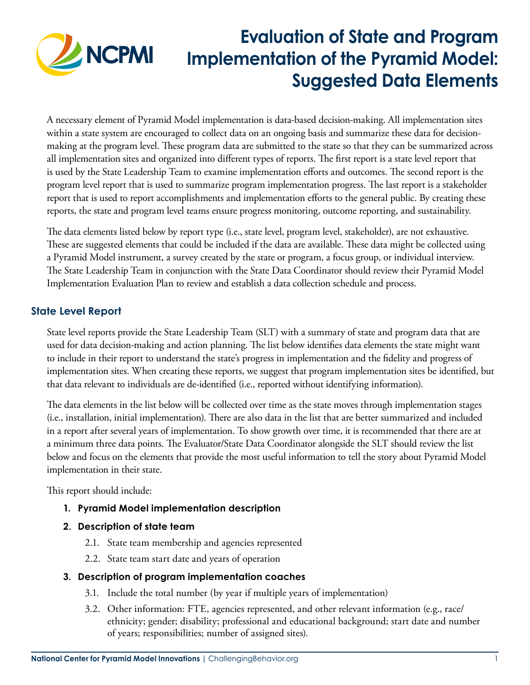

# **Evaluation of State and Program Implementation of the Pyramid Model: Suggested Data Elements**

A necessary element of Pyramid Model implementation is data-based decision-making. All implementation sites within a state system are encouraged to collect data on an ongoing basis and summarize these data for decisionmaking at the program level. These program data are submitted to the state so that they can be summarized across all implementation sites and organized into different types of reports. The first report is a state level report that is used by the State Leadership Team to examine implementation efforts and outcomes. The second report is the program level report that is used to summarize program implementation progress. The last report is a stakeholder report that is used to report accomplishments and implementation efforts to the general public. By creating these reports, the state and program level teams ensure progress monitoring, outcome reporting, and sustainability.

The data elements listed below by report type (i.e., state level, program level, stakeholder), are not exhaustive. These are suggested elements that could be included if the data are available. These data might be collected using a Pyramid Model instrument, a survey created by the state or program, a focus group, or individual interview. The State Leadership Team in conjunction with the State Data Coordinator should review their Pyramid Model Implementation Evaluation Plan to review and establish a data collection schedule and process.

# **State Level Report**

State level reports provide the State Leadership Team (SLT) with a summary of state and program data that are used for data decision-making and action planning. The list below identifies data elements the state might want to include in their report to understand the state's progress in implementation and the fidelity and progress of implementation sites. When creating these reports, we suggest that program implementation sites be identified, but that data relevant to individuals are de-identified (i.e., reported without identifying information).

The data elements in the list below will be collected over time as the state moves through implementation stages (i.e., installation, initial implementation). There are also data in the list that are better summarized and included in a report after several years of implementation. To show growth over time, it is recommended that there are at a minimum three data points. The Evaluator/State Data Coordinator alongside the SLT should review the list below and focus on the elements that provide the most useful information to tell the story about Pyramid Model implementation in their state.

This report should include:

- **1. Pyramid Model implementation description**
- **2. Description of state team**
	- 2.1. State team membership and agencies represented
	- 2.2. State team start date and years of operation

# **3. Description of program implementation coaches**

- 3.1. Include the total number (by year if multiple years of implementation)
- 3.2. Other information: FTE, agencies represented, and other relevant information (e.g., race/ ethnicity; gender; disability; professional and educational background; start date and number of years; responsibilities; number of assigned sites).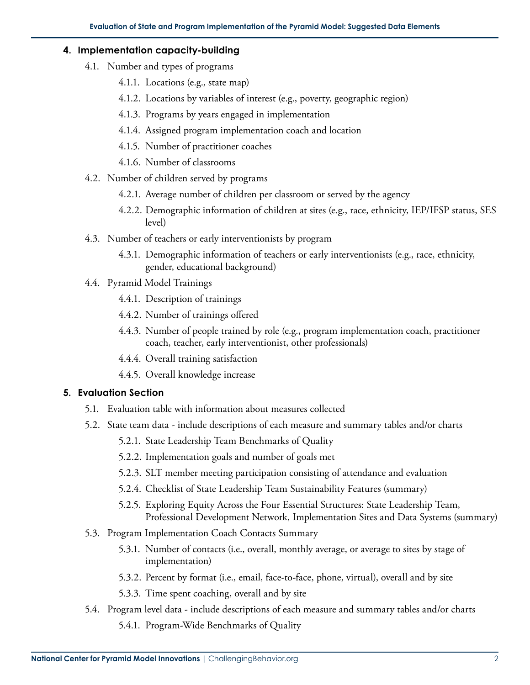## **4. Implementation capacity-building**

- 4.1. Number and types of programs
	- 4.1.1. Locations (e.g., state map)
	- 4.1.2. Locations by variables of interest (e.g., poverty, geographic region)
	- 4.1.3. Programs by years engaged in implementation
	- 4.1.4. Assigned program implementation coach and location
	- 4.1.5. Number of practitioner coaches
	- 4.1.6. Number of classrooms
- 4.2. Number of children served by programs
	- 4.2.1. Average number of children per classroom or served by the agency
	- 4.2.2. Demographic information of children at sites (e.g., race, ethnicity, IEP/IFSP status, SES level)
- 4.3. Number of teachers or early interventionists by program
	- 4.3.1. Demographic information of teachers or early interventionists (e.g., race, ethnicity, gender, educational background)
- 4.4. Pyramid Model Trainings
	- 4.4.1. Description of trainings
	- 4.4.2. Number of trainings offered
	- 4.4.3. Number of people trained by role (e.g., program implementation coach, practitioner coach, teacher, early interventionist, other professionals)
	- 4.4.4. Overall training satisfaction
	- 4.4.5. Overall knowledge increase

## **5. Evaluation Section**

- 5.1. Evaluation table with information about measures collected
- 5.2. State team data include descriptions of each measure and summary tables and/or charts
	- 5.2.1. State Leadership Team Benchmarks of Quality
	- 5.2.2. Implementation goals and number of goals met
	- 5.2.3. SLT member meeting participation consisting of attendance and evaluation
	- 5.2.4. Checklist of State Leadership Team Sustainability Features (summary)
	- 5.2.5. Exploring Equity Across the Four Essential Structures: State Leadership Team, Professional Development Network, Implementation Sites and Data Systems (summary)
- 5.3. Program Implementation Coach Contacts Summary
	- 5.3.1. Number of contacts (i.e., overall, monthly average, or average to sites by stage of implementation)
	- 5.3.2. Percent by format (i.e., email, face-to-face, phone, virtual), overall and by site
	- 5.3.3. Time spent coaching, overall and by site
- 5.4. Program level data include descriptions of each measure and summary tables and/or charts
	- 5.4.1. Program-Wide Benchmarks of Quality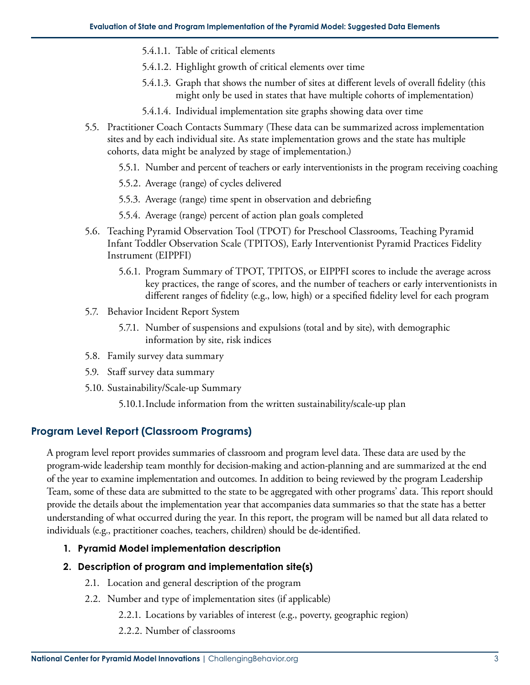- 5.4.1.1. Table of critical elements
- 5.4.1.2. Highlight growth of critical elements over time
- 5.4.1.3. Graph that shows the number of sites at different levels of overall fidelity (this might only be used in states that have multiple cohorts of implementation)
- 5.4.1.4. Individual implementation site graphs showing data over time
- 5.5. Practitioner Coach Contacts Summary (These data can be summarized across implementation sites and by each individual site. As state implementation grows and the state has multiple cohorts, data might be analyzed by stage of implementation.)
	- 5.5.1. Number and percent of teachers or early interventionists in the program receiving coaching
	- 5.5.2. Average (range) of cycles delivered
	- 5.5.3. Average (range) time spent in observation and debriefing
	- 5.5.4. Average (range) percent of action plan goals completed
- 5.6. Teaching Pyramid Observation Tool (TPOT) for Preschool Classrooms, Teaching Pyramid Infant Toddler Observation Scale (TPITOS), Early Interventionist Pyramid Practices Fidelity Instrument (EIPPFI)
	- 5.6.1. Program Summary of TPOT, TPITOS, or EIPPFI scores to include the average across key practices, the range of scores, and the number of teachers or early interventionists in different ranges of fidelity (e.g., low, high) or a specified fidelity level for each program
- 5.7. Behavior Incident Report System
	- 5.7.1. Number of suspensions and expulsions (total and by site), with demographic information by site, risk indices
- 5.8. Family survey data summary
- 5.9. Staff survey data summary
- 5.10. Sustainability/Scale-up Summary
	- 5.10.1.Include information from the written sustainability/scale-up plan

## **Program Level Report (Classroom Programs)**

A program level report provides summaries of classroom and program level data. These data are used by the program-wide leadership team monthly for decision-making and action-planning and are summarized at the end of the year to examine implementation and outcomes. In addition to being reviewed by the program Leadership Team, some of these data are submitted to the state to be aggregated with other programs' data. This report should provide the details about the implementation year that accompanies data summaries so that the state has a better understanding of what occurred during the year. In this report, the program will be named but all data related to individuals (e.g., practitioner coaches, teachers, children) should be de-identified.

## **1. Pyramid Model implementation description**

## **2. Description of program and implementation site(s)**

- 2.1. Location and general description of the program
- 2.2. Number and type of implementation sites (if applicable)
	- 2.2.1. Locations by variables of interest (e.g., poverty, geographic region)
	- 2.2.2. Number of classrooms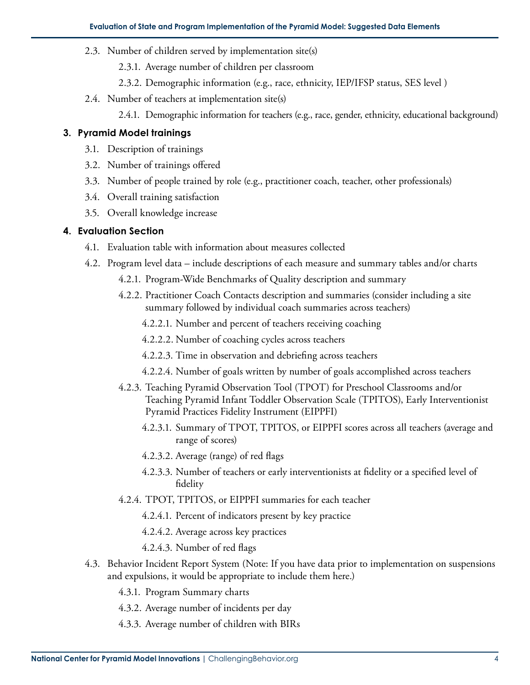- 2.3. Number of children served by implementation site(s)
	- 2.3.1. Average number of children per classroom
	- 2.3.2. Demographic information (e.g., race, ethnicity, IEP/IFSP status, SES level )
- 2.4. Number of teachers at implementation site(s)
	- 2.4.1. Demographic information for teachers (e.g., race, gender, ethnicity, educational background)

## **3. Pyramid Model trainings**

- 3.1. Description of trainings
- 3.2. Number of trainings offered
- 3.3. Number of people trained by role (e.g., practitioner coach, teacher, other professionals)
- 3.4. Overall training satisfaction
- 3.5. Overall knowledge increase

## **4. Evaluation Section**

- 4.1. Evaluation table with information about measures collected
- 4.2. Program level data include descriptions of each measure and summary tables and/or charts
	- 4.2.1. Program-Wide Benchmarks of Quality description and summary
	- 4.2.2. Practitioner Coach Contacts description and summaries (consider including a site summary followed by individual coach summaries across teachers)
		- 4.2.2.1. Number and percent of teachers receiving coaching
		- 4.2.2.2. Number of coaching cycles across teachers
		- 4.2.2.3. Time in observation and debriefing across teachers
		- 4.2.2.4. Number of goals written by number of goals accomplished across teachers
	- 4.2.3. Teaching Pyramid Observation Tool (TPOT) for Preschool Classrooms and/or Teaching Pyramid Infant Toddler Observation Scale (TPITOS), Early Interventionist Pyramid Practices Fidelity Instrument (EIPPFI)
		- 4.2.3.1. Summary of TPOT, TPITOS, or EIPPFI scores across all teachers (average and range of scores)
		- 4.2.3.2. Average (range) of red flags
		- 4.2.3.3. Number of teachers or early interventionists at fidelity or a specified level of fidelity
	- 4.2.4. TPOT, TPITOS, or EIPPFI summaries for each teacher
		- 4.2.4.1. Percent of indicators present by key practice
		- 4.2.4.2. Average across key practices
		- 4.2.4.3. Number of red flags
- 4.3. Behavior Incident Report System (Note: If you have data prior to implementation on suspensions and expulsions, it would be appropriate to include them here.)
	- 4.3.1. Program Summary charts
	- 4.3.2. Average number of incidents per day
	- 4.3.3. Average number of children with BIRs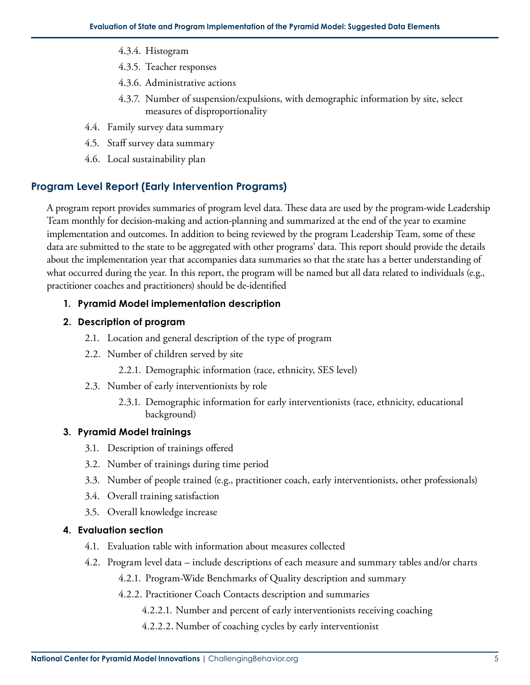- 4.3.4. Histogram
- 4.3.5. Teacher responses
- 4.3.6. Administrative actions
- 4.3.7. Number of suspension/expulsions, with demographic information by site, select measures of disproportionality
- 4.4. Family survey data summary
- 4.5. Staff survey data summary
- 4.6. Local sustainability plan

# **Program Level Report (Early Intervention Programs)**

A program report provides summaries of program level data. These data are used by the program-wide Leadership Team monthly for decision-making and action-planning and summarized at the end of the year to examine implementation and outcomes. In addition to being reviewed by the program Leadership Team, some of these data are submitted to the state to be aggregated with other programs' data. This report should provide the details about the implementation year that accompanies data summaries so that the state has a better understanding of what occurred during the year. In this report, the program will be named but all data related to individuals (e.g., practitioner coaches and practitioners) should be de-identified

# **1. Pyramid Model implementation description**

# **2. Description of program**

- 2.1. Location and general description of the type of program
- 2.2. Number of children served by site
	- 2.2.1. Demographic information (race, ethnicity, SES level)
- 2.3. Number of early interventionists by role
	- 2.3.1. Demographic information for early interventionists (race, ethnicity, educational background)

# **3. Pyramid Model trainings**

- 3.1. Description of trainings offered
- 3.2. Number of trainings during time period
- 3.3. Number of people trained (e.g., practitioner coach, early interventionists, other professionals)
- 3.4. Overall training satisfaction
- 3.5. Overall knowledge increase

# **4. Evaluation section**

- 4.1. Evaluation table with information about measures collected
- 4.2. Program level data include descriptions of each measure and summary tables and/or charts
	- 4.2.1. Program-Wide Benchmarks of Quality description and summary
	- 4.2.2. Practitioner Coach Contacts description and summaries
		- 4.2.2.1. Number and percent of early interventionists receiving coaching
		- 4.2.2.2. Number of coaching cycles by early interventionist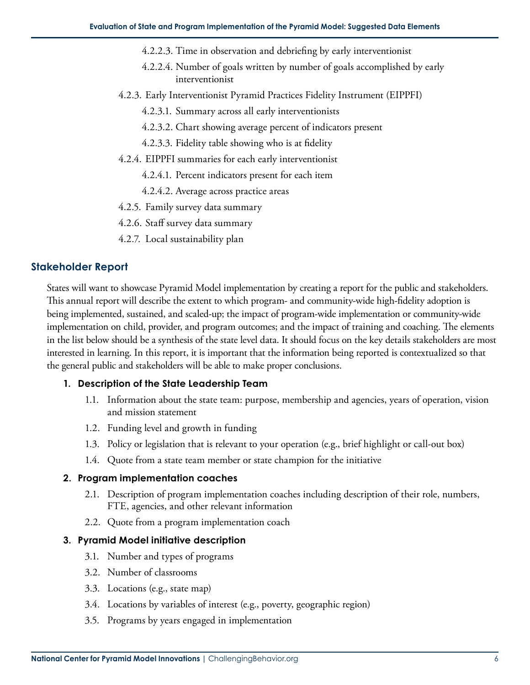- 4.2.2.3. Time in observation and debriefing by early interventionist
- 4.2.2.4. Number of goals written by number of goals accomplished by early interventionist
- 4.2.3. Early Interventionist Pyramid Practices Fidelity Instrument (EIPPFI)
	- 4.2.3.1. Summary across all early interventionists
	- 4.2.3.2. Chart showing average percent of indicators present
	- 4.2.3.3. Fidelity table showing who is at fidelity
- 4.2.4. EIPPFI summaries for each early interventionist
	- 4.2.4.1. Percent indicators present for each item
	- 4.2.4.2. Average across practice areas
- 4.2.5. Family survey data summary
- 4.2.6. Staff survey data summary
- 4.2.7. Local sustainability plan

## **Stakeholder Report**

States will want to showcase Pyramid Model implementation by creating a report for the public and stakeholders. This annual report will describe the extent to which program- and community-wide high-fidelity adoption is being implemented, sustained, and scaled-up; the impact of program-wide implementation or community-wide implementation on child, provider, and program outcomes; and the impact of training and coaching. The elements in the list below should be a synthesis of the state level data. It should focus on the key details stakeholders are most interested in learning. In this report, it is important that the information being reported is contextualized so that the general public and stakeholders will be able to make proper conclusions.

### **1. Description of the State Leadership Team**

- 1.1. Information about the state team: purpose, membership and agencies, years of operation, vision and mission statement
- 1.2. Funding level and growth in funding
- 1.3. Policy or legislation that is relevant to your operation (e.g., brief highlight or call-out box)
- 1.4. Quote from a state team member or state champion for the initiative

## **2. Program implementation coaches**

- 2.1. Description of program implementation coaches including description of their role, numbers, FTE, agencies, and other relevant information
- 2.2. Quote from a program implementation coach

### **3. Pyramid Model initiative description**

- 3.1. Number and types of programs
- 3.2. Number of classrooms
- 3.3. Locations (e.g., state map)
- 3.4. Locations by variables of interest (e.g., poverty, geographic region)
- 3.5. Programs by years engaged in implementation